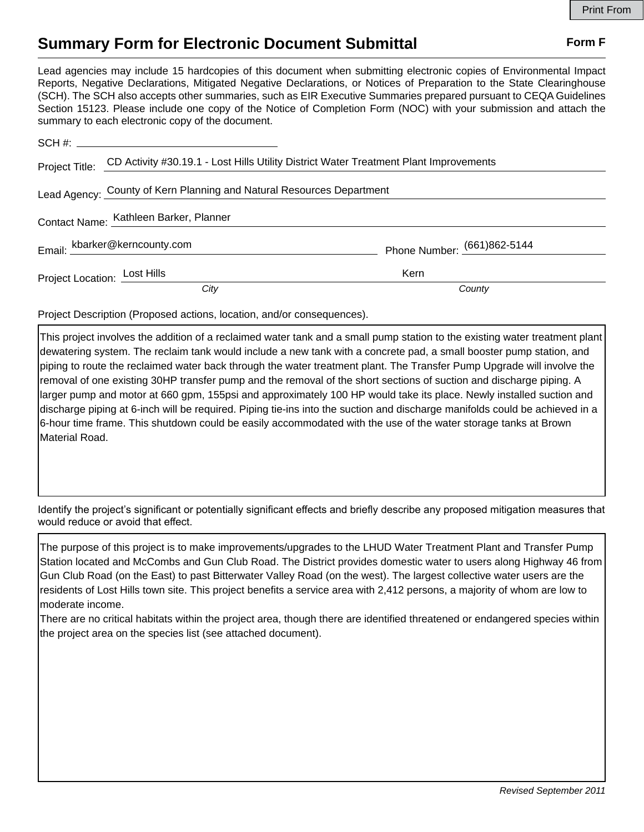## **Summary Form for Electronic Document Submittal Form F Form F**

Lead agencies may include 15 hardcopies of this document when submitting electronic copies of Environmental Impact Reports, Negative Declarations, Mitigated Negative Declarations, or Notices of Preparation to the State Clearinghouse (SCH). The SCH also accepts other summaries, such as EIR Executive Summaries prepared pursuant to CEQA Guidelines Section 15123. Please include one copy of the Notice of Completion Form (NOC) with your submission and attach the summary to each electronic copy of the document.

|                                                                       | Project Title: CD Activity #30.19.1 - Lost Hills Utility District Water Treatment Plant Improvements |                             |
|-----------------------------------------------------------------------|------------------------------------------------------------------------------------------------------|-----------------------------|
| Lead Agency: County of Kern Planning and Natural Resources Department |                                                                                                      |                             |
| Contact Name: Kathleen Barker, Planner                                |                                                                                                      |                             |
|                                                                       | Email: kbarker@kerncounty.com                                                                        | Phone Number: (661)862-5144 |
| Project Location: Lost Hills                                          |                                                                                                      | Kern                        |
|                                                                       | City                                                                                                 | County                      |

Project Description (Proposed actions, location, and/or consequences).

This project involves the addition of a reclaimed water tank and a small pump station to the existing water treatment plant dewatering system. The reclaim tank would include a new tank with a concrete pad, a small booster pump station, and piping to route the reclaimed water back through the water treatment plant. The Transfer Pump Upgrade will involve the removal of one existing 30HP transfer pump and the removal of the short sections of suction and discharge piping. A larger pump and motor at 660 gpm, 155psi and approximately 100 HP would take its place. Newly installed suction and discharge piping at 6-inch will be required. Piping tie-ins into the suction and discharge manifolds could be achieved in a 6-hour time frame. This shutdown could be easily accommodated with the use of the water storage tanks at Brown Material Road.

Identify the project's significant or potentially significant effects and briefly describe any proposed mitigation measures that would reduce or avoid that effect.

The purpose of this project is to make improvements/upgrades to the LHUD Water Treatment Plant and Transfer Pump Station located and McCombs and Gun Club Road. The District provides domestic water to users along Highway 46 from Gun Club Road (on the East) to past Bitterwater Valley Road (on the west). The largest collective water users are the residents of Lost Hills town site. This project benefits a service area with 2,412 persons, a majority of whom are low to moderate income.

There are no critical habitats within the project area, though there are identified threatened or endangered species within the project area on the species list (see attached document).